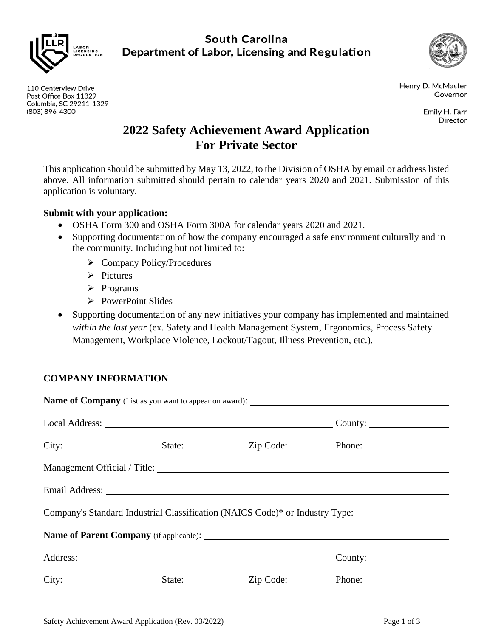

110 Centerview Drive

Post Office Box 11329 Columbia, SC 29211-1329

(803) 896-4300

**South Carolina** Department of Labor, Licensing and Regulation



Henry D. McMaster Governor

> Emily H. Farr Director

# **2022 Safety Achievement Award Application For Private Sector**

This application should be submitted by May 13, 2022, to the Division of OSHA by email or address listed above. All information submitted should pertain to calendar years 2020 and 2021. Submission of this application is voluntary.

### **Submit with your application:**

- OSHA Form 300 and OSHA Form 300A for calendar years 2020 and 2021.
- Supporting documentation of how the company encouraged a safe environment culturally and in the community. Including but not limited to:
	- $\triangleright$  Company Policy/Procedures
	- $\triangleright$  Pictures
	- $\triangleright$  Programs
	- $\triangleright$  PowerPoint Slides
- Supporting documentation of any new initiatives your company has implemented and maintained *within the last year* (ex. Safety and Health Management System, Ergonomics, Process Safety Management, Workplace Violence, Lockout/Tagout, Illness Prevention, etc.).

## **COMPANY INFORMATION**

|  | Company's Standard Industrial Classification (NAICS Code)* or Industry Type: ______________________ |  |
|--|-----------------------------------------------------------------------------------------------------|--|
|  |                                                                                                     |  |
|  |                                                                                                     |  |
|  |                                                                                                     |  |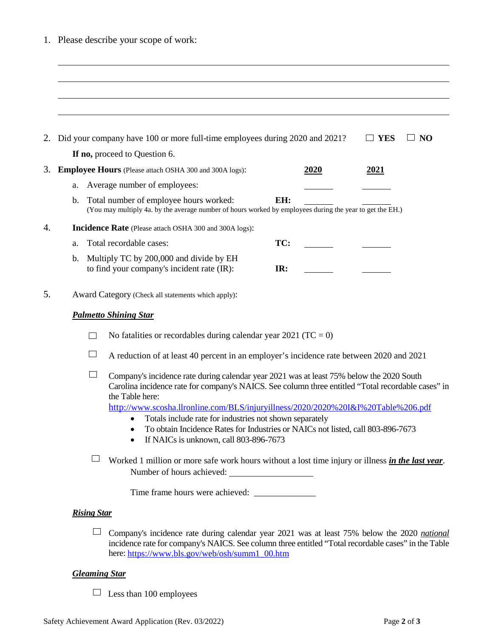|  |  | 1. Please describe your scope of work: |  |  |  |  |
|--|--|----------------------------------------|--|--|--|--|
|--|--|----------------------------------------|--|--|--|--|

| 2. |                                                               | Did your company have 100 or more full-time employees during 2020 and 2021?                                                                                                                                                                                                                                                                                                                                                                                                                                      |     |      | <b>YES</b> | <b>NO</b> |  |
|----|---------------------------------------------------------------|------------------------------------------------------------------------------------------------------------------------------------------------------------------------------------------------------------------------------------------------------------------------------------------------------------------------------------------------------------------------------------------------------------------------------------------------------------------------------------------------------------------|-----|------|------------|-----------|--|
|    |                                                               | If no, proceed to Question 6.                                                                                                                                                                                                                                                                                                                                                                                                                                                                                    |     |      |            |           |  |
| 3. |                                                               | <b>Employee Hours</b> (Please attach OSHA 300 and 300A logs):                                                                                                                                                                                                                                                                                                                                                                                                                                                    |     | 2020 | 2021       |           |  |
|    | a.                                                            | Average number of employees:                                                                                                                                                                                                                                                                                                                                                                                                                                                                                     |     |      |            |           |  |
|    | $\mathbf{b}$ .                                                | Total number of employee hours worked:<br>(You may multiply 4a. by the average number of hours worked by employees during the year to get the EH.)                                                                                                                                                                                                                                                                                                                                                               | EH: |      |            |           |  |
| 4. | <b>Incidence Rate</b> (Please attach OSHA 300 and 300A logs): |                                                                                                                                                                                                                                                                                                                                                                                                                                                                                                                  |     |      |            |           |  |
|    | a.                                                            | Total recordable cases:                                                                                                                                                                                                                                                                                                                                                                                                                                                                                          | TC: |      |            |           |  |
|    | $\mathbf{b}$ .                                                | Multiply TC by 200,000 and divide by EH<br>to find your company's incident rate (IR):                                                                                                                                                                                                                                                                                                                                                                                                                            | IR: |      |            |           |  |
| 5. |                                                               | Award Category (Check all statements which apply):                                                                                                                                                                                                                                                                                                                                                                                                                                                               |     |      |            |           |  |
|    | <b>Palmetto Shining Star</b>                                  |                                                                                                                                                                                                                                                                                                                                                                                                                                                                                                                  |     |      |            |           |  |
|    |                                                               | No fatalities or recordables during calendar year 2021 (TC = 0)                                                                                                                                                                                                                                                                                                                                                                                                                                                  |     |      |            |           |  |
|    |                                                               | A reduction of at least 40 percent in an employer's incidence rate between 2020 and 2021                                                                                                                                                                                                                                                                                                                                                                                                                         |     |      |            |           |  |
|    |                                                               | Company's incidence rate during calendar year 2021 was at least 75% below the 2020 South<br>Carolina incidence rate for company's NAICS. See column three entitled "Total recordable cases" in<br>the Table here:<br>http://www.scosha.llronline.com/BLS/injuryillness/2020/2020%20I&I%20Table%206.pdf<br>Totals include rate for industries not shown separately<br>$\bullet$<br>To obtain Incidence Rates for Industries or NAICs not listed, call 803-896-7673<br>If NAICs is unknown, call 803-896-7673<br>٠ |     |      |            |           |  |
|    |                                                               | Worked 1 million or more safe work hours without a lost time injury or illness in the last year.<br>Number of hours achieved:                                                                                                                                                                                                                                                                                                                                                                                    |     |      |            |           |  |
|    |                                                               |                                                                                                                                                                                                                                                                                                                                                                                                                                                                                                                  |     |      |            |           |  |
|    | <b>Rising Star</b>                                            |                                                                                                                                                                                                                                                                                                                                                                                                                                                                                                                  |     |      |            |           |  |
|    |                                                               | Company's incidence rate during calendar year 2021 was at least 75% below the 2020 national<br>incidence rate for company's NAICS. See column three entitled "Total recordable cases" in the Table<br>here: https://www.bls.gov/web/osh/summ1_00.htm                                                                                                                                                                                                                                                             |     |      |            |           |  |
|    | <b>Gleaming Star</b>                                          |                                                                                                                                                                                                                                                                                                                                                                                                                                                                                                                  |     |      |            |           |  |

## □ Less than 100 employees